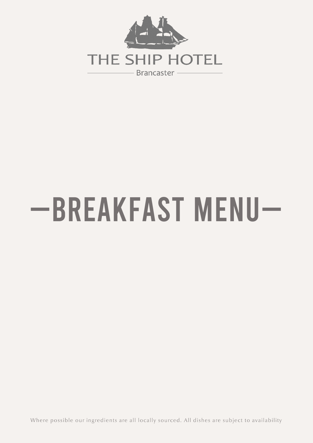

# -BREAKFAST MENU-

Where possible our ingredients are all locally sourced. All dishes are subject to availability